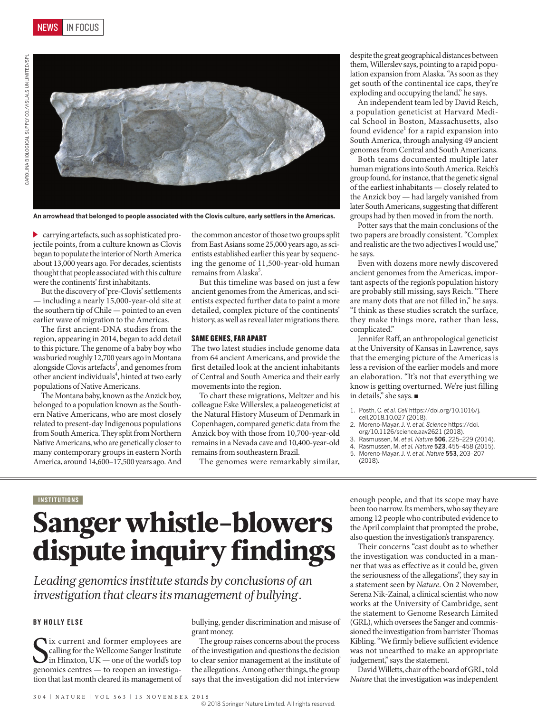



**An arrowhead that belonged to people associated with the Clovis culture, early settlers in the Americas.**

carrying artefacts, such as sophisticated projectile points, from a culture known as Clovis began to populate the interior of North America about 13,000 years ago. For decades, scientists thought that people associated with this culture were the continents' first inhabitants.

But the discovery of 'pre-Clovis' settlements — including a nearly 15,000-year-old site at the southern tip of Chile — pointed to an even earlier wave of migration to the Americas.

The first ancient-DNA studies from the region, appearing in 2014, began to add detail to this picture. The genome of a baby boy who was buried roughly 12,700 years ago in Montana alongside Clovis artefacts<sup>3</sup>, and genomes from other ancient individuals<sup>4</sup>, hinted at two early populations of Native Americans.

The Montana baby, known as the Anzick boy, belonged to a population known as the Southern Native Americans, who are most closely related to present-day Indigenous populations from South America. They split from Northern Native Americans, who are genetically closer to many contemporary groups in eastern North America, around 14,600–17,500 years ago. And

the common ancestor of those two groups split from East Asians some 25,000 years ago, as scientists established earlier this year by sequencing the genome of 11,500-year-old human remains from Alaska<sup>5</sup>.

But this timeline was based on just a few ancient genomes from the Americas, and scientists expected further data to paint a more detailed, complex picture of the continents' history, as well as reveal later migrations there.

#### SAME GENES, FAR APART

The two latest studies include genome data from 64 ancient Americans, and provide the first detailed look at the ancient inhabitants of Central and South America and their early movements into the region.

To chart these migrations, Meltzer and his colleague Eske Willerslev, a palaeogeneticist at the Natural History Museum of Denmark in Copenhagen, compared genetic data from the Anzick boy with those from 10,700-year-old remains in a Nevada cave and 10,400-year-old remains from southeastern Brazil.

The genomes were remarkably similar,

despite the great geographical distances between them, Willerslev says, pointing to a rapid population expansion from Alaska. "As soon as they get south of the continental ice caps, they're exploding and occupying the land," he says.

An independent team led by David Reich, a population geneticist at Harvard Medical School in Boston, Massachusetts, also found evidence<sup>1</sup> for a rapid expansion into South America, through analysing 49 ancient genomes from Central and South Americans.

Both teams documented multiple later human migrations into South America. Reich's group found, for instance, that the genetic signal of the earliest inhabitants — closely related to the Anzick boy — had largely vanished from later South Americans, suggesting that different groups had by then moved in from the north.

Potter says that the main conclusions of the two papers are broadly consistent. "Complex and realistic are the two adjectives I would use," he says.

Even with dozens more newly discovered ancient genomes from the Americas, important aspects of the region's population history are probably still missing, says Reich. "There are many dots that are not filled in," he says. "I think as these studies scratch the surface, they make things more, rather than less, complicated."

Jennifer Raff, an anthropological geneticist at the University of Kansas in Lawrence, says that the emerging picture of the Americas is less a revision of the earlier models and more an elaboration. "It's not that everything we know is getting overturned. We're just filling in details," she says. ■

- 1. Posth, C. *et al. Cell* https://doi.org/10.1016/j. cell.2018.10.027 (2018).
- 2. Moreno-Mayar, J. V. *et al. Science* https://doi.
- org/10.1126/science.aav2621 (2018). 3. Rasmussen, M. *et al. Nature* **506**, 225–229 (2014).
- 4. Rasmussen, M. *et al. Nature* **523**, 455–458 (2015).
- 5. Moreno-Mayar, J. V. *et al. Nature* **553**, 203–207 (2018).

# **INSTITUTIONS**

# Sanger whistle-blowers dispute inquiry findings

*Leading genomics institute stands by conclusions of an investigation that clears its management of bullying.*

#### BY HOLLY ELSE

Six current and former employees are Scalling for the Wellcome Sanger Institute<br>in Hinxton, UK — one of the world's top<br>genomics centres — to reopen an investigalix current and former employees are calling for the Wellcome Sanger Institute in Hinxton, UK — one of the world's top tion that last month cleared its management of bullying, gender discrimination and misuse of grant money.

The group raises concerns about the process of the investigation and questions the decision to clear senior management at the institute of the allegations. Among other things, the group says that the investigation did not interview

enough people, and that its scope may have been too narrow. Its members, who say they are among 12 people who contributed evidence to the April complaint that prompted the probe, also question the investigation's transparency.

Their concerns "cast doubt as to whether the investigation was conducted in a manner that was as effective as it could be, given the seriousness of the allegations", they say in a statement seen by *Nature*. On 2 November, Serena Nik-Zainal, a clinical scientist who now works at the University of Cambridge, sent the statement to Genome Research Limited (GRL), which oversees the Sanger and commissioned the investigation from barrister Thomas Kibling. "We firmly believe sufficient evidence was not unearthed to make an appropriate judgement," says the statement.

David Willetts, chair of the board of GRL, told *Nature* that the investigation was independent